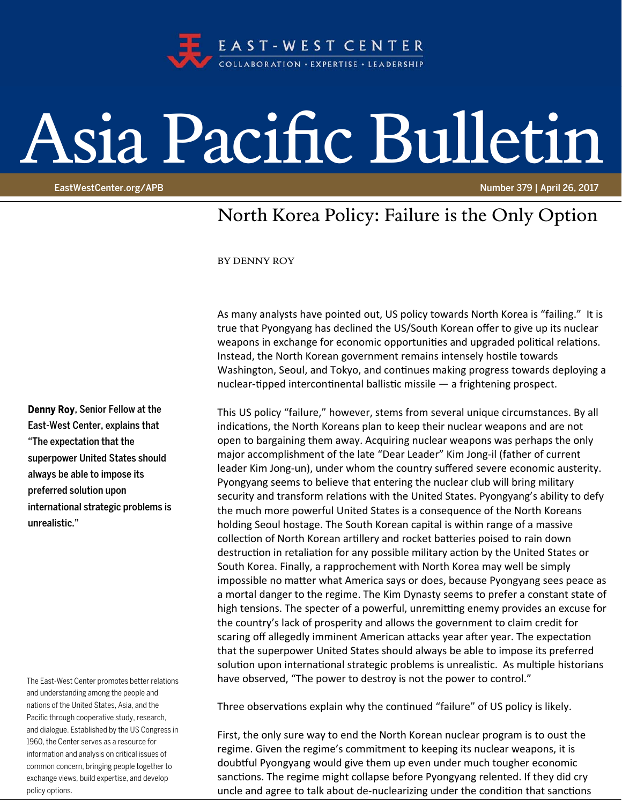

## Asia Pacific Bulletin

EastWestCenter.org/APB Number 379 | April 26, 2017

## North Korea Policy: Failure is the Only Option

BY DENNY ROY

true that Pyongyang has declined the US/South Korean offer to give up its nuclear weapons in exchange for economic opportunities and upgraded political relations. Instead, the North Korean government remains intensely hostile towards Washington, Seoul, and Tokyo, and continues making progress towards deploying a nuclear-tipped intercontinental ballistic missile  $-$  a frightening prospect.

As many analysts have pointed out, US policy towards North Korea is "failing." It is

This US policy "failure," however, stems from several unique circumstances. By all indications, the North Koreans plan to keep their nuclear weapons and are not open to bargaining them away. Acquiring nuclear weapons was perhaps the only major accomplishment of the late "Dear Leader" Kim Jong‐il (father of current leader Kim Jong‐un), under whom the country suffered severe economic austerity. Pyongyang seems to believe that entering the nuclear club will bring military security and transform relations with the United States. Pyongyang's ability to defy the much more powerful United States is a consequence of the North Koreans holding Seoul hostage. The South Korean capital is within range of a massive collection of North Korean artillery and rocket batteries poised to rain down destruction in retaliation for any possible military action by the United States or South Korea. Finally, a rapprochement with North Korea may well be simply impossible no matter what America says or does, because Pyongyang sees peace as a mortal danger to the regime. The Kim Dynasty seems to prefer a constant state of high tensions. The specter of a powerful, unremitting enemy provides an excuse for the country's lack of prosperity and allows the government to claim credit for scaring off allegedly imminent American attacks year after year. The expectation that the superpower United States should always be able to impose its preferred solution upon international strategic problems is unrealistic. As multiple historians have observed, "The power to destroy is not the power to control."

Three observations explain why the continued "failure" of US policy is likely.

First, the only sure way to end the North Korean nuclear program is to oust the regime. Given the regime's commitment to keeping its nuclear weapons, it is doubtful Pyongyang would give them up even under much tougher economic sanctions. The regime might collapse before Pyongyang relented. If they did cry uncle and agree to talk about de-nuclearizing under the condition that sanctions

Denny Roy, Senior Fellow at the East-West Center, explains that "The expectation that the superpower United States should always be able to impose its preferred solution upon international strategic problems is unrealistic."

The East-West Center promotes better relations and understanding among the people and nations of the United States, Asia, and the Pacific through cooperative study, research, and dialogue. Established by the US Congress in 1960, the Center serves as a resource for information and analysis on critical issues of common concern, bringing people together to exchange views, build expertise, and develop policy options.